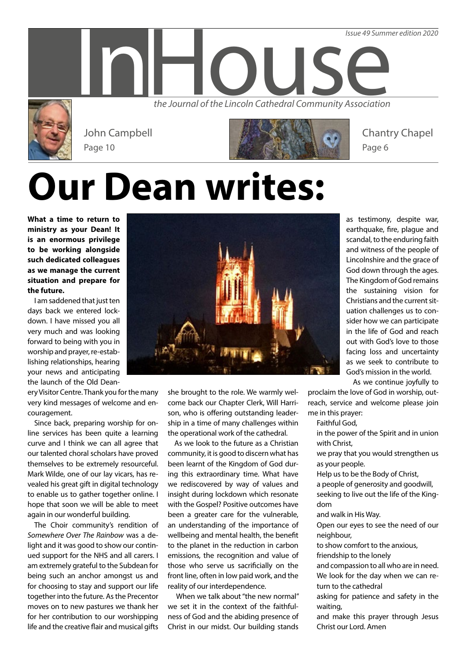

# **Our Dean writes:**

**What a time to return to ministry as your Dean! It is an enormous privilege to be working alongside such dedicated colleagues as we manage the current situation and prepare for the future.** 

I am saddened that just ten days back we entered lockdown. I have missed you all very much and was looking forward to being with you in worship and prayer, re-establishing relationships, hearing your news and anticipating the launch of the Old Dean-

ery Visitor Centre. Thank you for the many very kind messages of welcome and encouragement.

Since back, preparing worship for online services has been quite a learning curve and I think we can all agree that our talented choral scholars have proved themselves to be extremely resourceful. Mark Wilde, one of our lay vicars, has revealed his great gift in digital technology to enable us to gather together online. I hope that soon we will be able to meet again in our wonderful building.

The Choir community's rendition of *Somewhere Over The Rainbow* was a delight and it was good to show our continued support for the NHS and all carers. I am extremely grateful to the Subdean for being such an anchor amongst us and for choosing to stay and support our life together into the future. As the Precentor moves on to new pastures we thank her for her contribution to our worshipping life and the creative flair and musical gifts



she brought to the role. We warmly welcome back our Chapter Clerk, Will Harrison, who is offering outstanding leadership in a time of many challenges within the operational work of the cathedral.

As we look to the future as a Christian community, it is good to discern what has been learnt of the Kingdom of God during this extraordinary time. What have we rediscovered by way of values and insight during lockdown which resonate with the Gospel? Positive outcomes have been a greater care for the vulnerable, an understanding of the importance of wellbeing and mental health, the benefit to the planet in the reduction in carbon emissions, the recognition and value of those who serve us sacrificially on the front line, often in low paid work, and the reality of our interdependence.

 When we talk about "the new normal" we set it in the context of the faithfulness of God and the abiding presence of Christ in our midst. Our building stands

as testimony, despite war, earthquake, fire, plague and scandal, to the enduring faith and witness of the people of Lincolnshire and the grace of God down through the ages. The Kingdom of God remains the sustaining vision for Christians and the current situation challenges us to consider how we can participate in the life of God and reach out with God's love to those facing loss and uncertainty as we seek to contribute to God's mission in the world.

As we continue joyfully to

proclaim the love of God in worship, outreach, service and welcome please join me in this prayer:

Faithful God,

in the power of the Spirit and in union with Christ,

we pray that you would strengthen us as your people.

Help us to be the Body of Christ,

a people of generosity and goodwill, seeking to live out the life of the Kingdom

and walk in His Way.

Open our eyes to see the need of our neighbour,

to show comfort to the anxious,

friendship to the lonely

and compassion to all who are in need. We look for the day when we can return to the cathedral

asking for patience and safety in the waiting,

and make this prayer through Jesus Christ our Lord. Amen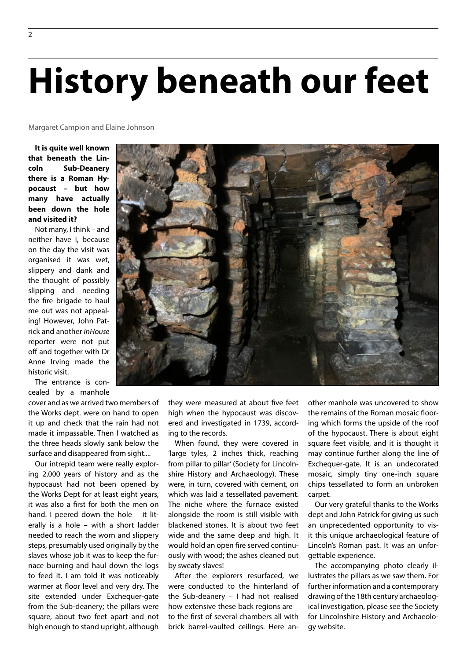$\overline{\phantom{a}}$ 

# **History beneath our feet**

Margaret Campion and Elaine Johnson

**It is quite well known that beneath the Lincoln Sub-Deanery there is a Roman Hypocaust – but how many have actually been down the hole and visited it?** 

Not many, I think – and neither have I, because on the day the visit was organised it was wet, slippery and dank and the thought of possibly slipping and needing the fire brigade to haul me out was not appealing! However, John Patrick and another *InHouse* reporter were not put off and together with Dr Anne Irving made the historic visit.

The entrance is concealed by a manhole

cover and as we arrived two members of the Works dept. were on hand to open it up and check that the rain had not made it impassable. Then I watched as the three heads slowly sank below the surface and disappeared from sight....

Our intrepid team were really exploring 2,000 years of history and as the hypocaust had not been opened by the Works Dept for at least eight years, it was also a first for both the men on hand. I peered down the hole – it literally is a hole – with a short ladder needed to reach the worn and slippery steps, presumably used originally by the slaves whose job it was to keep the furnace burning and haul down the logs to feed it. I am told it was noticeably warmer at floor level and very dry. The site extended under Exchequer-gate from the Sub-deanery; the pillars were square, about two feet apart and not high enough to stand upright, although



they were measured at about five feet high when the hypocaust was discovered and investigated in 1739, according to the records.

When found, they were covered in 'large tyles, 2 inches thick, reaching from pillar to pillar' (Society for Lincolnshire History and Archaeology). These were, in turn, covered with cement, on which was laid a tessellated pavement. The niche where the furnace existed alongside the room is still visible with blackened stones. It is about two feet wide and the same deep and high. It would hold an open fire served continuously with wood; the ashes cleaned out by sweaty slaves!

After the explorers resurfaced, we were conducted to the hinterland of the Sub-deanery – I had not realised how extensive these back regions are – to the first of several chambers all with brick barrel-vaulted ceilings. Here another manhole was uncovered to show the remains of the Roman mosaic flooring which forms the upside of the roof of the hypocaust. There is about eight square feet visible, and it is thought it may continue further along the line of Exchequer-gate. It is an undecorated mosaic, simply tiny one-inch square chips tessellated to form an unbroken carpet.

Our very grateful thanks to the Works dept and John Patrick for giving us such an unprecedented opportunity to visit this unique archaeological feature of Lincoln's Roman past. It was an unforgettable experience.

The accompanying photo clearly illustrates the pillars as we saw them. For further information and a contemporary drawing of the 18th century archaeological investigation, please see the Society for Lincolnshire History and Archaeology website.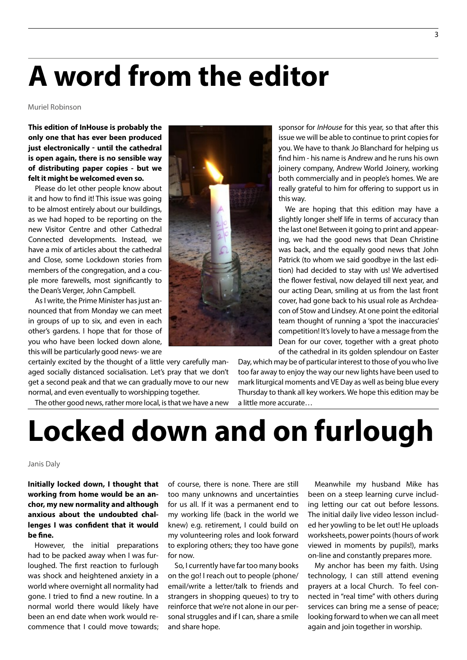### **A word from the editor**

Muriel Robinson

**This edition of InHouse is probably the only one that has ever been produced just electronically - until the cathedral is open again, there is no sensible way of distributing paper copies - but we felt it might be welcomed even so.** 

Please do let other people know about it and how to find it! This issue was going to be almost entirely about our buildings, as we had hoped to be reporting on the new Visitor Centre and other Cathedral Connected developments. Instead, we have a mix of articles about the cathedral and Close, some Lockdown stories from members of the congregation, and a couple more farewells, most significantly to the Dean's Verger, John Campbell.

As I write, the Prime Minister has just announced that from Monday we can meet in groups of up to six, and even in each other's gardens. I hope that for those of you who have been locked down alone, this will be particularly good news- we are

certainly excited by the thought of a little very carefully managed socially distanced socialisation. Let's pray that we don't get a second peak and that we can gradually move to our new normal, and even eventually to worshipping together.

The other good news, rather more local, is that we have a new



sponsor for *InHouse* for this year, so that after this issue we will be able to continue to print copies for you. We have to thank Jo Blanchard for helping us find him - his name is Andrew and he runs his own joinery company, Andrew World Joinery, working both commercially and in people's homes. We are really grateful to him for offering to support us in this way.

We are hoping that this edition may have a slightly longer shelf life in terms of accuracy than the last one! Between it going to print and appearing, we had the good news that Dean Christine was back, and the equally good news that John Patrick (to whom we said goodbye in the last edition) had decided to stay with us! We advertised the flower festival, now delayed till next year, and our acting Dean, smiling at us from the last front cover, had gone back to his usual role as Archdeacon of Stow and Lindsey. At one point the editorial team thought of running a 'spot the inaccuracies' competition! It's lovely to have a message from the Dean for our cover, together with a great photo of the cathedral in its golden splendour on Easter

Day, which may be of particular interest to those of you who live too far away to enjoy the way our new lights have been used to mark liturgical moments and VE Day as well as being blue every Thursday to thank all key workers. We hope this edition may be a little more accurate…

# **Locked down and on furlough**

Janis Daly

**Initially locked down, I thought that working from home would be an anchor, my new normality and although anxious about the undoubted challenges I was confident that it would be fine.** 

However, the initial preparations had to be packed away when I was furloughed. The first reaction to furlough was shock and heightened anxiety in a world where overnight all normality had gone. I tried to find a new routine. In a normal world there would likely have been an end date when work would recommence that I could move towards; of course, there is none. There are still too many unknowns and uncertainties for us all. If it was a permanent end to my working life (back in the world we knew) e.g. retirement, I could build on my volunteering roles and look forward to exploring others; they too have gone for now.

So, I currently have far too many books on the go! I reach out to people (phone/ email/write a letter/talk to friends and strangers in shopping queues) to try to reinforce that we're not alone in our personal struggles and if I can, share a smile and share hope.

Meanwhile my husband Mike has been on a steep learning curve including letting our cat out before lessons. The initial daily live video lesson included her yowling to be let out! He uploads worksheets, power points (hours of work viewed in moments by pupils!), marks on-line and constantly prepares more.

My anchor has been my faith. Using technology, I can still attend evening prayers at a local Church. To feel connected in "real time" with others during services can bring me a sense of peace; looking forward to when we can all meet again and join together in worship.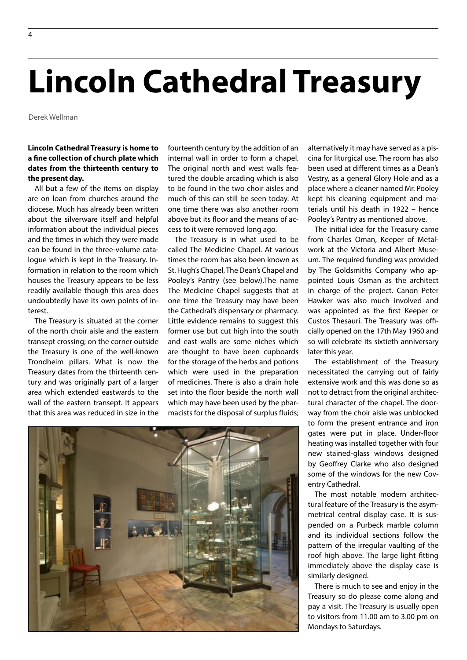# **Lincoln Cathedral Treasury**

Derek Wellman

### **Lincoln Cathedral Treasury is home to a fine collection of church plate which dates from the thirteenth century to the present day.**

All but a few of the items on display are on loan from churches around the diocese. Much has already been written about the silverware itself and helpful information about the individual pieces and the times in which they were made can be found in the three-volume catalogue which is kept in the Treasury. Information in relation to the room which houses the Treasury appears to be less readily available though this area does undoubtedly have its own points of interest.

The Treasury is situated at the corner of the north choir aisle and the eastern transept crossing; on the corner outside the Treasury is one of the well-known Trondheim pillars. What is now the Treasury dates from the thirteenth century and was originally part of a larger area which extended eastwards to the wall of the eastern transept. It appears that this area was reduced in size in the

fourteenth century by the addition of an internal wall in order to form a chapel. The original north and west walls featured the double arcading which is also to be found in the two choir aisles and much of this can still be seen today. At one time there was also another room above but its floor and the means of access to it were removed long ago.

The Treasury is in what used to be called The Medicine Chapel. At various times the room has also been known as St. Hugh's Chapel, The Dean's Chapel and Pooley's Pantry (see below).The name The Medicine Chapel suggests that at one time the Treasury may have been the Cathedral's dispensary or pharmacy. Little evidence remains to suggest this former use but cut high into the south and east walls are some niches which are thought to have been cupboards for the storage of the herbs and potions which were used in the preparation of medicines. There is also a drain hole set into the floor beside the north wall which may have been used by the pharmacists for the disposal of surplus fluids;

alternatively it may have served as a piscina for liturgical use. The room has also been used at different times as a Dean's Vestry, as a general Glory Hole and as a place where a cleaner named Mr. Pooley kept his cleaning equipment and materials until his death in 1922 – hence Pooley's Pantry as mentioned above.

The initial idea for the Treasury came from Charles Oman, Keeper of Metalwork at the Victoria and Albert Museum. The required funding was provided by The Goldsmiths Company who appointed Louis Osman as the architect in charge of the project. Canon Peter Hawker was also much involved and was appointed as the first Keeper or Custos Thesauri. The Treasury was officially opened on the 17th May 1960 and so will celebrate its sixtieth anniversary later this year.

The establishment of the Treasury necessitated the carrying out of fairly extensive work and this was done so as not to detract from the original architectural character of the chapel. The doorway from the choir aisle was unblocked to form the present entrance and iron gates were put in place. Under-floor heating was installed together with four new stained-glass windows designed by Geoffrey Clarke who also designed some of the windows for the new Coventry Cathedral.

The most notable modern architectural feature of the Treasury is the asymmetrical central display case. It is suspended on a Purbeck marble column and its individual sections follow the pattern of the irregular vaulting of the roof high above. The large light fitting immediately above the display case is similarly designed.

There is much to see and enjoy in the Treasury so do please come along and pay a visit. The Treasury is usually open to visitors from 11.00 am to 3.00 pm on Mondays to Saturdays.

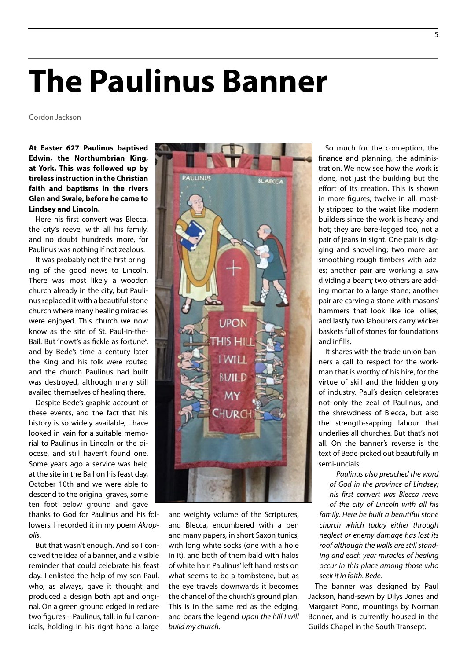## **The Paulinus Banner**

Gordon Jackson

**At Easter 627 Paulinus baptised Edwin, the Northumbrian King, at York. This was followed up by tireless instruction in the Christian faith and baptisms in the rivers Glen and Swale, before he came to Lindsey and Lincoln.** 

Here his first convert was Blecca, the city's reeve, with all his family, and no doubt hundreds more, for Paulinus was nothing if not zealous.

It was probably not the first bringing of the good news to Lincoln. There was most likely a wooden church already in the city, but Paulinus replaced it with a beautiful stone church where many healing miracles were enjoyed. This church we now know as the site of St. Paul-in-the-Bail. But "nowt's as fickle as fortune", and by Bede's time a century later the King and his folk were routed and the church Paulinus had built was destroyed, although many still availed themselves of healing there.

Despite Bede's graphic account of these events, and the fact that his history is so widely available, I have looked in vain for a suitable memorial to Paulinus in Lincoln or the diocese, and still haven't found one. Some years ago a service was held at the site in the Bail on his feast day, October 10th and we were able to descend to the original graves, some ten foot below ground and gave

thanks to God for Paulinus and his followers. I recorded it in my poem *Akropolis*.

But that wasn't enough. And so I conceived the idea of a banner, and a visible reminder that could celebrate his feast day. I enlisted the help of my son Paul, who, as always, gave it thought and produced a design both apt and original. On a green ground edged in red are two figures – Paulinus, tall, in full canonicals, holding in his right hand a large



and weighty volume of the Scriptures, and Blecca, encumbered with a pen and many papers, in short Saxon tunics, with long white socks (one with a hole in it), and both of them bald with halos of white hair. Paulinus' left hand rests on what seems to be a tombstone, but as the eye travels downwards it becomes the chancel of the church's ground plan. This is in the same red as the edging, and bears the legend *Upon the hill I will build my church*.

So much for the conception, the finance and planning, the administration. We now see how the work is done, not just the building but the effort of its creation. This is shown in more figures, twelve in all, mostly stripped to the waist like modern builders since the work is heavy and hot; they are bare-legged too, not a pair of jeans in sight. One pair is digging and shovelling; two more are smoothing rough timbers with adzes; another pair are working a saw dividing a beam; two others are adding mortar to a large stone; another pair are carving a stone with masons' hammers that look like ice lollies; and lastly two labourers carry wicker baskets full of stones for foundations and infills.

It shares with the trade union banners a call to respect for the workman that is worthy of his hire, for the virtue of skill and the hidden glory of industry. Paul's design celebrates not only the zeal of Paulinus, and the shrewdness of Blecca, but also the strength-sapping labour that underlies all churches. But that's not all. On the banner's reverse is the text of Bede picked out beautifully in semi-uncials:

*Paulinus also preached the word of God in the province of Lindsey; his first convert was Blecca reeve of the city of Lincoln with all his* 

*family. Here he built a beautiful stone church which today either through neglect or enemy damage has lost its roof although the walls are still standing and each year miracles of healing occur in this place among those who seek it in faith. Bede.*

The banner was designed by Paul Jackson, hand-sewn by Dilys Jones and Margaret Pond, mountings by Norman Bonner, and is currently housed in the Guilds Chapel in the South Transept.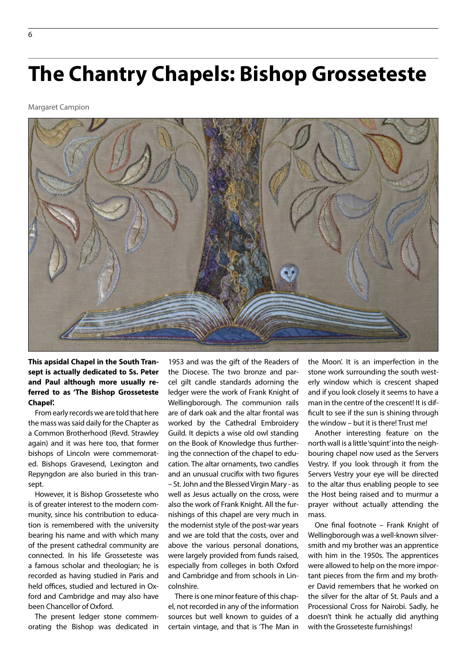### **The Chantry Chapels: Bishop Grosseteste**

#### Margaret Campion



**This apsidal Chapel in the South Transept is actually dedicated to Ss. Peter and Paul although more usually referred to as 'The Bishop Grosseteste Chapel'.** 

From early records we are told that here the mass was said daily for the Chapter as a Common Brotherhood (Revd. Strawley again) and it was here too, that former bishops of Lincoln were commemorated. Bishops Gravesend, Lexington and Repyngdon are also buried in this transept.

However, it is Bishop Grosseteste who is of greater interest to the modern community, since his contribution to education is remembered with the university bearing his name and with which many of the present cathedral community are connected. In his life Grosseteste was a famous scholar and theologian; he is recorded as having studied in Paris and held offices, studied and lectured in Oxford and Cambridge and may also have been Chancellor of Oxford.

The present ledger stone commemorating the Bishop was dedicated in 1953 and was the gift of the Readers of the Diocese. The two bronze and parcel gilt candle standards adorning the ledger were the work of Frank Knight of Wellingborough. The communion rails are of dark oak and the altar frontal was worked by the Cathedral Embroidery Guild. It depicts a wise old owl standing on the Book of Knowledge thus furthering the connection of the chapel to education. The altar ornaments, two candles and an unusual crucifix with two figures – St. John and the Blessed Virgin Mary - as well as Jesus actually on the cross, were also the work of Frank Knight. All the furnishings of this chapel are very much in the modernist style of the post-war years and we are told that the costs, over and above the various personal donations, were largely provided from funds raised, especially from colleges in both Oxford and Cambridge and from schools in Lincolnshire.

There is one minor feature of this chapel, not recorded in any of the information sources but well known to guides of a certain vintage, and that is 'The Man in the Moon'. It is an imperfection in the stone work surrounding the south westerly window which is crescent shaped and if you look closely it seems to have a man in the centre of the crescent! It is difficult to see if the sun is shining through the window – but it is there! Trust me!

Another interesting feature on the north wall is a little 'squint' into the neighbouring chapel now used as the Servers Vestry. If you look through it from the Servers Vestry your eye will be directed to the altar thus enabling people to see the Host being raised and to murmur a prayer without actually attending the mass.

One final footnote – Frank Knight of Wellingborough was a well-known silversmith and my brother was an apprentice with him in the 1950s. The apprentices were allowed to help on the more important pieces from the firm and my brother David remembers that he worked on the silver for the altar of St. Pauls and a Processional Cross for Nairobi. Sadly, he doesn't think he actually did anything with the Grosseteste furnishings!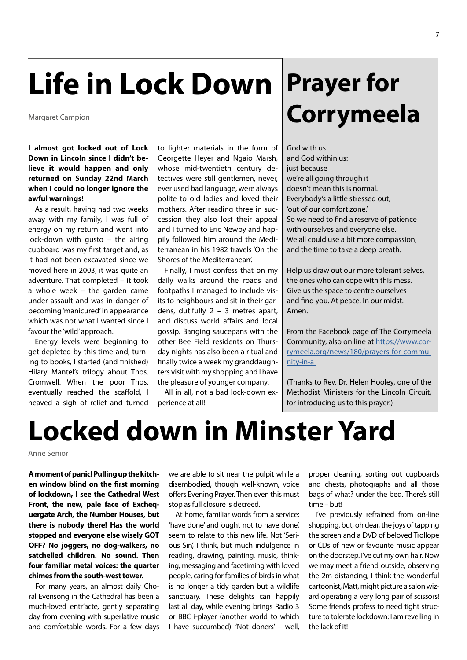# **Life in Lock Down**

Margaret Campion

**I almost got locked out of Lock Down in Lincoln since I didn't believe it would happen and only returned on Sunday 22nd March when I could no longer ignore the awful warnings!** 

As a result, having had two weeks away with my family, I was full of energy on my return and went into lock-down with gusto – the airing cupboard was my first target and, as it had not been excavated since we moved here in 2003, it was quite an adventure. That completed – it took a whole week – the garden came under assault and was in danger of becoming 'manicured' in appearance which was not what I wanted since I favour the 'wild' approach.

Energy levels were beginning to get depleted by this time and, turning to books, I started (and finished) Hilary Mantel's trilogy about Thos. Cromwell. When the poor Thos. eventually reached the scaffold, I heaved a sigh of relief and turned to lighter materials in the form of Georgette Heyer and Ngaio Marsh, whose mid-twentieth century detectives were still gentlemen, never, ever used bad language, were always polite to old ladies and loved their mothers. After reading three in succession they also lost their appeal and I turned to Eric Newby and happily followed him around the Mediterranean in his 1982 travels 'On the Shores of the Mediterranean'.

Finally, I must confess that on my daily walks around the roads and footpaths I managed to include visits to neighbours and sit in their gardens, dutifully 2 – 3 metres apart, and discuss world affairs and local gossip. Banging saucepans with the other Bee Field residents on Thursday nights has also been a ritual and finally twice a week my granddaughters visit with my shopping and I have the pleasure of younger company.

All in all, not a bad lock-down experience at all!

### **Prayer for Corrymeela**

God with us and God within us: just because we're all going through it doesn't mean this is normal. Everybody's a little stressed out, 'out of our comfort zone.' So we need to find a reserve of patience with ourselves and everyone else. We all could use a bit more compassion, and the time to take a deep breath.

Help us draw out our more tolerant selves, the ones who can cope with this mess. Give us the space to centre ourselves and find you. At peace. In our midst. Amen.

---

From the Facebook page of The Corrymeela Community, also on line at [https://www.cor](https://www.corrymeela.org/news/180/prayers-for-community-in-a  )[rymeela.org/news/180/prayers-for-commu](https://www.corrymeela.org/news/180/prayers-for-community-in-a  )[nity-in-a](https://www.corrymeela.org/news/180/prayers-for-community-in-a  ) 

(Thanks to Rev. Dr. Helen Hooley, one of the Methodist Ministers for the Lincoln Circuit, for introducing us to this prayer.)

### **Locked down in Minster Yard**

Anne Senior

**A moment of panic! Pulling up the kitchen window blind on the first morning of lockdown, I see the Cathedral West Front, the new, pale face of Exchequergate Arch, the Number Houses, but there is nobody there! Has the world stopped and everyone else wisely GOT OFF? No joggers, no dog-walkers, no satchelled children. No sound. Then four familiar metal voices: the quarter chimes from the south-west tower.** 

For many years, an almost daily Choral Evensong in the Cathedral has been a much-loved entr'acte, gently separating day from evening with superlative music and comfortable words. For a few days we are able to sit near the pulpit while a disembodied, though well-known, voice offers Evening Prayer. Then even this must stop as full closure is decreed.

At home, familiar words from a service: 'have done' and 'ought not to have done', seem to relate to this new life. Not 'Serious Sin', I think, but much indulgence in reading, drawing, painting, music, thinking, messaging and facetiming with loved people, caring for families of birds in what is no longer a tidy garden but a wildlife sanctuary. These delights can happily last all day, while evening brings Radio 3 or BBC i-player (another world to which I have succumbed). 'Not doners' – well,

proper cleaning, sorting out cupboards and chests, photographs and all those bags of what? under the bed. There's still time – but!

I've previously refrained from on-line shopping, but, oh dear, the joys of tapping the screen and a DVD of beloved Trollope or CDs of new or favourite music appear on the doorstep. I've cut my own hair. Now we may meet a friend outside, observing the 2m distancing, I think the wonderful cartoonist, Matt, might picture a salon wizard operating a very long pair of scissors! Some friends profess to need tight structure to tolerate lockdown: I am revelling in the lack of it!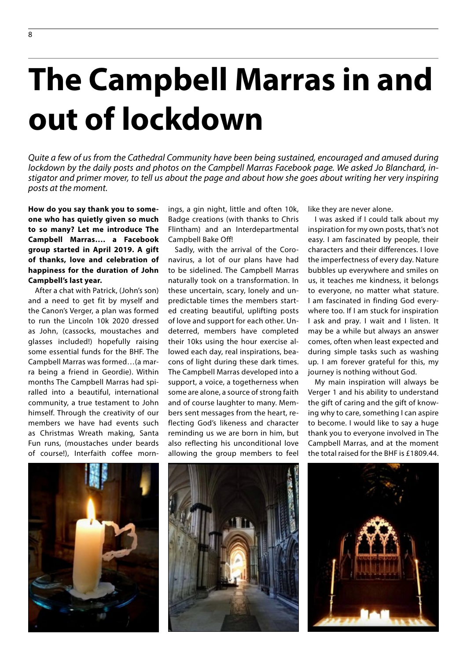# **The Campbell Marras in and out of lockdown**

*Quite a few of us from the Cathedral Community have been being sustained, encouraged and amused during lockdown by the daily posts and photos on the Campbell Marras Facebook page. We asked Jo Blanchard, instigator and primer mover, to tell us about the page and about how she goes about writing her very inspiring posts at the moment.* 

**How do you say thank you to someone who has quietly given so much to so many? Let me introduce The Campbell Marras…. a Facebook group started in April 2019. A gift of thanks, love and celebration of happiness for the duration of John Campbell's last year.**

After a chat with Patrick, (John's son) and a need to get fit by myself and the Canon's Verger, a plan was formed to run the Lincoln 10k 2020 dressed as John, (cassocks, moustaches and glasses included!) hopefully raising some essential funds for the BHF. The Campbell Marras was formed…(a marra being a friend in Geordie). Within months The Campbell Marras had spiralled into a beautiful, international community, a true testament to John himself. Through the creativity of our members we have had events such as Christmas Wreath making, Santa Fun runs, (moustaches under beards of course!), Interfaith coffee mornings, a gin night, little and often 10k, Badge creations (with thanks to Chris Flintham) and an Interdepartmental Campbell Bake Off!

Sadly, with the arrival of the Coronavirus, a lot of our plans have had to be sidelined. The Campbell Marras naturally took on a transformation. In these uncertain, scary, lonely and unpredictable times the members started creating beautiful, uplifting posts of love and support for each other. Undeterred, members have completed their 10ks using the hour exercise allowed each day, real inspirations, beacons of light during these dark times. The Campbell Marras developed into a support, a voice, a togetherness when some are alone, a source of strong faith and of course laughter to many. Members sent messages from the heart, reflecting God's likeness and character reminding us we are born in him, but also reflecting his unconditional love allowing the group members to feel

like they are never alone.

I was asked if I could talk about my inspiration for my own posts, that's not easy. I am fascinated by people, their characters and their differences. I love the imperfectness of every day. Nature bubbles up everywhere and smiles on us, it teaches me kindness, it belongs to everyone, no matter what stature. I am fascinated in finding God everywhere too. If I am stuck for inspiration I ask and pray. I wait and I listen. It may be a while but always an answer comes, often when least expected and during simple tasks such as washing up. I am forever grateful for this, my journey is nothing without God.

My main inspiration will always be Verger 1 and his ability to understand the gift of caring and the gift of knowing why to care, something I can aspire to become. I would like to say a huge thank you to everyone involved in The Campbell Marras, and at the moment the total raised for the BHF is £1809.44.





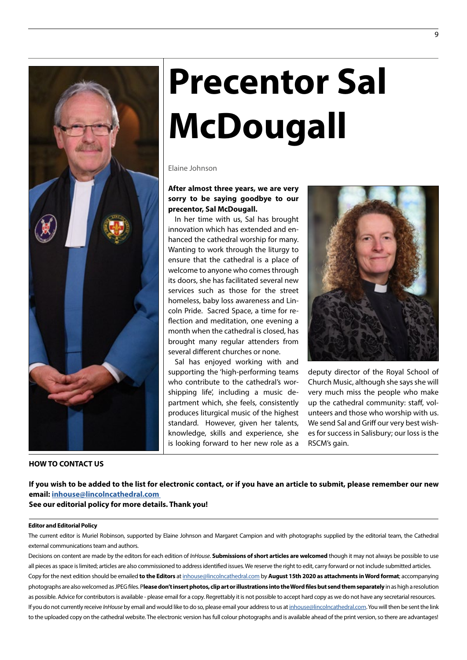

# **Precentor Sal McDougall**

Elaine Johnson

### **After almost three years, we are very sorry to be saying goodbye to our precentor, Sal McDougall.**

In her time with us, Sal has brought innovation which has extended and enhanced the cathedral worship for many. Wanting to work through the liturgy to ensure that the cathedral is a place of welcome to anyone who comes through its doors, she has facilitated several new services such as those for the street homeless, baby loss awareness and Lincoln Pride. Sacred Space, a time for reflection and meditation, one evening a month when the cathedral is closed, has brought many regular attenders from several different churches or none.

Sal has enjoyed working with and supporting the 'high-performing teams who contribute to the cathedral's worshipping life', including a music department which, she feels, consistently produces liturgical music of the highest standard. However, given her talents, knowledge, skills and experience, she is looking forward to her new role as a



deputy director of the Royal School of Church Music, although she says she will very much miss the people who make up the cathedral community: staff, volunteers and those who worship with us. We send Sal and Griff our very best wishes for success in Salisbury; our loss is the RSCM's gain.

#### **HOW TO CONTACT US**

**If you wish to be added to the list for electronic contact, or if you have an article to submit, please remember our new email: [inhouse@lincolncathedral.com](mailto:inhouse%40lincolncathedral.com%20?subject=)  See our editorial policy for more details. Thank you!**

#### **Editor and Editorial Policy**

The current editor is Muriel Robinson, supported by Elaine Johnson and Margaret Campion and with photographs supplied by the editorial team, the Cathedral external communications team and authors.

Decisions on content are made by the editors for each edition of *InHouse*. **Submissions of short articles are welcomed** though it may not always be possible to use all pieces as space is limited; articles are also commissioned to address identified issues. We reserve the right to edit, carry forward or not include submitted articles. Copy for the next edition should be emailed **to the Editors** at [inhouse@lincolncathedral.com](mailto:inhouse%40lincolncathedral.com?subject=) by **August 15th 2020 as attachments in Word format**; accompanying photographs are also welcomed as JPEG files. P**lease don't insert photos, clip art or illustrations into the Word files but send them separately** in as high a resolution as possible. Advice for contributors is available - please email for a copy. Regrettably it is not possible to accept hard copy as we do not have any secretarial resources. If you do not currently receive *InHouse* by email and would like to do so, please email your address to us at [inhouse@lincolncathedral.com.](mailto:inhouse%40lincolncathedral.com?subject=) You will then be sent the link to the uploaded copy on the cathedral website. The electronic version has full colour photographs and is available ahead of the print version, so there are advantages!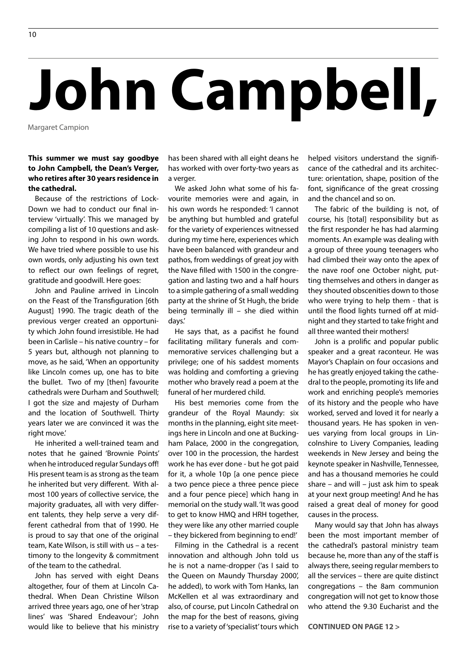# **John Campbell,** Margaret Campion

### **This summer we must say goodbye to John Campbell, the Dean's Verger, who retires after 30 years residence in the cathedral.**

Because of the restrictions of Lock-Down we had to conduct our final interview 'virtually'. This we managed by compiling a list of 10 questions and asking John to respond in his own words. We have tried where possible to use his own words, only adjusting his own text to reflect our own feelings of regret, gratitude and goodwill. Here goes:

John and Pauline arrived in Lincoln on the Feast of the Transfiguration [6th August] 1990. The tragic death of the previous verger created an opportunity which John found irresistible. He had been in Carlisle – his native country – for 5 years but, although not planning to move, as he said, 'When an opportunity like Lincoln comes up, one has to bite the bullet. Two of my [then] favourite cathedrals were Durham and Southwell; I got the size and majesty of Durham and the location of Southwell. Thirty years later we are convinced it was the right move.'

He inherited a well-trained team and notes that he gained 'Brownie Points' when he introduced regular Sundays off! His present team is as strong as the team he inherited but very different. With almost 100 years of collective service, the majority graduates, all with very different talents, they help serve a very different cathedral from that of 1990. He is proud to say that one of the original team, Kate Wilson, is still with us – a testimony to the longevity & commitment of the team to the cathedral.

John has served with eight Deans altogether, four of them at Lincoln Cathedral. When Dean Christine Wilson arrived three years ago, one of her 'strap lines' was 'Shared Endeavour'; John would like to believe that his ministry has been shared with all eight deans he has worked with over forty-two years as a verger.

We asked John what some of his favourite memories were and again, in his own words he responded: 'I cannot be anything but humbled and grateful for the variety of experiences witnessed during my time here, experiences which have been balanced with grandeur and pathos, from weddings of great joy with the Nave filled with 1500 in the congregation and lasting two and a half hours to a simple gathering of a small wedding party at the shrine of St Hugh, the bride being terminally ill – she died within days.'

He says that, as a pacifist he found facilitating military funerals and commemorative services challenging but a privilege; one of his saddest moments was holding and comforting a grieving mother who bravely read a poem at the funeral of her murdered child.

His best memories come from the grandeur of the Royal Maundy: six months in the planning, eight site meetings here in Lincoln and one at Buckingham Palace, 2000 in the congregation, over 100 in the procession, the hardest work he has ever done - but he got paid for it, a whole 10p [a one pence piece a two pence piece a three pence piece and a four pence piece] which hang in memorial on the study wall. 'It was good to get to know HMQ and HRH together, they were like any other married couple – they bickered from beginning to end!'

Filming in the Cathedral is a recent innovation and although John told us he is not a name-dropper ('as I said to the Queen on Maundy Thursday 2000', he added), to work with Tom Hanks, Ian McKellen et al was extraordinary and also, of course, put Lincoln Cathedral on the map for the best of reasons, giving rise to a variety of 'specialist' tours which helped visitors understand the significance of the cathedral and its architecture: orientation, shape, position of the font, significance of the great crossing and the chancel and so on.

The fabric of the building is not, of course, his [total] responsibility but as the first responder he has had alarming moments. An example was dealing with a group of three young teenagers who had climbed their way onto the apex of the nave roof one October night, putting themselves and others in danger as they shouted obscenities down to those who were trying to help them - that is until the flood lights turned off at midnight and they started to take fright and all three wanted their mothers!

John is a prolific and popular public speaker and a great raconteur. He was Mayor's Chaplain on four occasions and he has greatly enjoyed taking the cathedral to the people, promoting its life and work and enriching people's memories of its history and the people who have worked, served and loved it for nearly a thousand years. He has spoken in venues varying from local groups in Lincolnshire to Livery Companies, leading weekends in New Jersey and being the keynote speaker in Nashville, Tennessee, and has a thousand memories he could share – and will – just ask him to speak at your next group meeting! And he has raised a great deal of money for good causes in the process.

Many would say that John has always been the most important member of the cathedral's pastoral ministry team because he, more than any of the staff is always there, seeing regular members to all the services – there are quite distinct congregations – the 8am communion congregation will not get to know those who attend the 9.30 Eucharist and the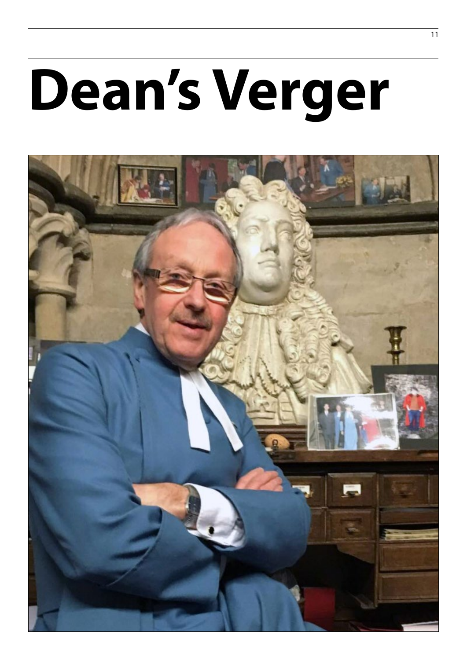# **Dean's Verger**